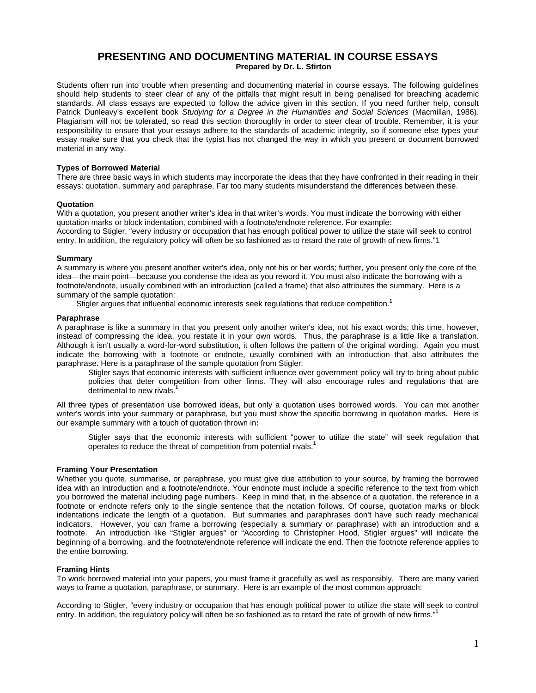# **PRESENTING AND DOCUMENTING MATERIAL IN COURSE ESSAYS Prepared by Dr. L. Stirton**

Students often run into trouble when presenting and documenting material in course essays. The following guidelines should help students to steer clear of any of the pitfalls that might result in being penalised for breaching academic standards. All class essays are expected to follow the advice given in this section. If you need further help, consult Patrick Dunleavy's excellent book *Studying for a Degree in the Humanities and Social Sciences* (Macmillan, 1986). Plagiarism will not be tolerated, so read this section thoroughly in order to steer clear of trouble. Remember, it is your responsibility to ensure that your essays adhere to the standards of academic integrity, so if someone else types your essay make sure that you check that the typist has not changed the way in which you present or document borrowed material in any way.

## **Types of Borrowed Material**

There are three basic ways in which students may incorporate the ideas that they have confronted in their reading in their essays: quotation, summary and paraphrase. Far too many students misunderstand the differences between these.

#### **Quotation**

With a quotation, you present another writer's idea in that writer's words. You must indicate the borrowing with either quotation marks or block indentation, combined with a footnote/endnote reference. For example: According to Stigler, "every industry or occupation that has enough political power to utilize the state will seek to control entry. In addition, the regulatory policy will often be so fashioned as to retard the rate of growth of new firms."1

## **Summary**

A summary is where you present another writer's idea, only not his or her words; further, you present only the core of the idea—the main point—because you condense the idea as you reword it. You must also indicate the borrowing with a footnote/endnote, usually combined with an introduction (called a frame) that also attributes the summary. Here is a summary of the sample quotation:

Stigler argues that influential economic interests seek regulations that reduce competition.**<sup>1</sup>**

## **Paraphrase**

A paraphrase is like a summary in that you present only another writer's idea, not his exact words; this time, however, instead of compressing the idea, you restate it in your own words. Thus, the paraphrase is a little like a translation. Although it isn't usually a word-for-word substitution, it often follows the pattern of the original wording. Again you must indicate the borrowing with a footnote or endnote, usually combined with an introduction that also attributes the paraphrase. Here is a paraphrase of the sample quotation from Stigler:

Stigler says that economic interests with sufficient influence over government policy will try to bring about public policies that deter competition from other firms. They will also encourage rules and regulations that are detrimental to new rivals.<sup>1</sup>

All three types of presentation use borrowed ideas, but only a quotation uses borrowed words. You can mix another writer's words into your summary or paraphrase, but you must show the specific borrowing in quotation marks**.** Here is our example summary with a touch of quotation thrown in**:** 

Stigler says that the economic interests with sufficient "power to utilize the state" will seek regulation that operates to reduce the threat of competition from potential rivals.**<sup>1</sup>**

## **Framing Your Presentation**

Whether you quote, summarise, or paraphrase, you must give due attribution to your source, by framing the borrowed idea with an introduction and a footnote/endnote. Your endnote must include a specific reference to the text from which you borrowed the material including page numbers. Keep in mind that, in the absence of a quotation, the reference in a footnote or endnote refers only to the single sentence that the notation follows. Of course, quotation marks or block indentations indicate the length of a quotation. But summaries and paraphrases don't have such ready mechanical indicators. However, you can frame a borrowing (especially a summary or paraphrase) with an introduction and a footnote. An introduction like "Stigler argues" or "According to Christopher Hood, Stigler argues" will indicate the beginning of a borrowing, and the footnote/endnote reference will indicate the end. Then the footnote reference applies to the entire borrowing.

## **Framing Hints**

To work borrowed material into your papers, you must frame it gracefully as well as responsibly. There are many varied ways to frame a quotation, paraphrase, or summary. Here is an example of the most common approach:

According to Stigler, "every industry or occupation that has enough political power to utilize the state will seek to control entry. In addition, the regulatory policy will often be so fashioned as to retard the rate of growth of new firms."**<sup>1</sup>**